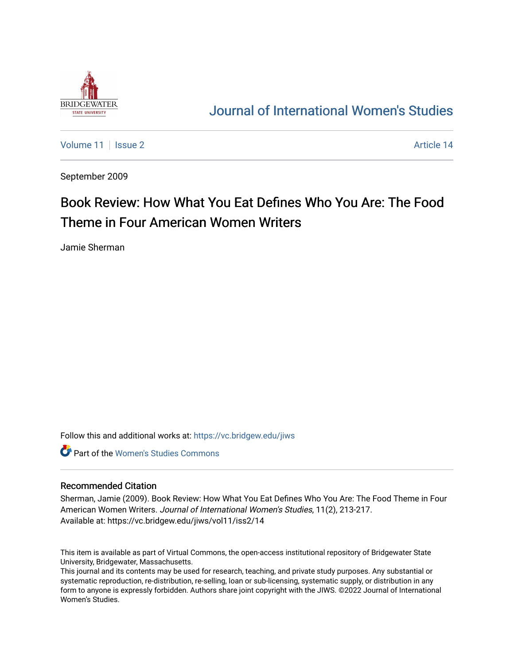

## [Journal of International Women's Studies](https://vc.bridgew.edu/jiws)

[Volume 11](https://vc.bridgew.edu/jiws/vol11) | [Issue 2](https://vc.bridgew.edu/jiws/vol11/iss2) Article 14

September 2009

# Book Review: How What You Eat Defines Who You Are: The Food Theme in Four American Women Writers

Jamie Sherman

Follow this and additional works at: [https://vc.bridgew.edu/jiws](https://vc.bridgew.edu/jiws?utm_source=vc.bridgew.edu%2Fjiws%2Fvol11%2Fiss2%2F14&utm_medium=PDF&utm_campaign=PDFCoverPages)

**C** Part of the Women's Studies Commons

#### Recommended Citation

Sherman, Jamie (2009). Book Review: How What You Eat Defines Who You Are: The Food Theme in Four American Women Writers. Journal of International Women's Studies, 11(2), 213-217. Available at: https://vc.bridgew.edu/jiws/vol11/iss2/14

This item is available as part of Virtual Commons, the open-access institutional repository of Bridgewater State University, Bridgewater, Massachusetts.

This journal and its contents may be used for research, teaching, and private study purposes. Any substantial or systematic reproduction, re-distribution, re-selling, loan or sub-licensing, systematic supply, or distribution in any form to anyone is expressly forbidden. Authors share joint copyright with the JIWS. ©2022 Journal of International Women's Studies.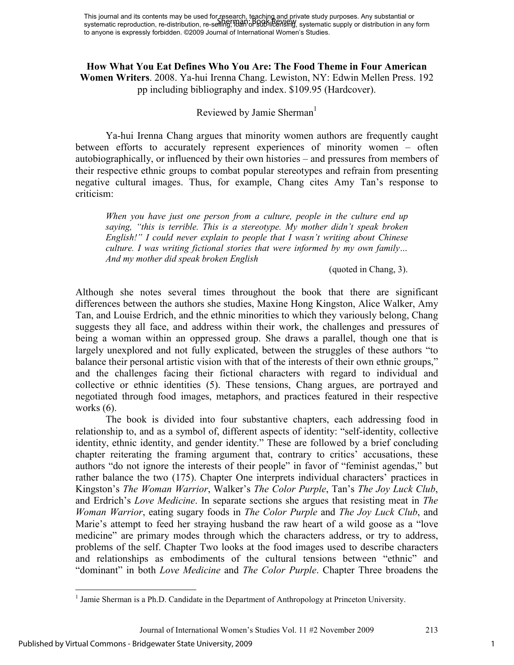## **How What You Eat Defines Who You Are: The Food Theme in Four American Women Writers**. 2008. Ya-hui Irenna Chang. Lewiston, NY: Edwin Mellen Press. 192 pp including bibliography and index. \$109.95 (Hardcover).

## Reviewed by Jamie Sherman<sup>1</sup>

Ya-hui Irenna Chang argues that minority women authors are frequently caught between efforts to accurately represent experiences of minority women – often autobiographically, or influenced by their own histories – and pressures from members of their respective ethnic groups to combat popular stereotypes and refrain from presenting negative cultural images. Thus, for example, Chang cites Amy Tan's response to criticism:

*When you have just one person from a culture, people in the culture end up saying, "this is terrible. This is a stereotype. My mother didn't speak broken English!" I could never explain to people that I wasn't writing about Chinese culture. I was writing fictional stories that were informed by my own family… And my mother did speak broken English* 

(quoted in Chang, 3).

Although she notes several times throughout the book that there are significant differences between the authors she studies, Maxine Hong Kingston, Alice Walker, Amy Tan, and Louise Erdrich, and the ethnic minorities to which they variously belong, Chang suggests they all face, and address within their work, the challenges and pressures of being a woman within an oppressed group. She draws a parallel, though one that is largely unexplored and not fully explicated, between the struggles of these authors "to balance their personal artistic vision with that of the interests of their own ethnic groups," and the challenges facing their fictional characters with regard to individual and collective or ethnic identities (5). These tensions, Chang argues, are portrayed and negotiated through food images, metaphors, and practices featured in their respective works (6).

The book is divided into four substantive chapters, each addressing food in relationship to, and as a symbol of, different aspects of identity: "self-identity, collective identity, ethnic identity, and gender identity." These are followed by a brief concluding chapter reiterating the framing argument that, contrary to critics' accusations, these authors "do not ignore the interests of their people" in favor of "feminist agendas," but rather balance the two (175). Chapter One interprets individual characters' practices in Kingston's *The Woman Warrior*, Walker's *The Color Purple*, Tan's *The Joy Luck Club*, and Erdrich's *Love Medicine*. In separate sections she argues that resisting meat in *The Woman Warrior*, eating sugary foods in *The Color Purple* and *The Joy Luck Club*, and Marie's attempt to feed her straying husband the raw heart of a wild goose as a "love medicine" are primary modes through which the characters address, or try to address, problems of the self. Chapter Two looks at the food images used to describe characters and relationships as embodiments of the cultural tensions between "ethnic" and "dominant" in both *Love Medicine* and *The Color Purple*. Chapter Three broadens the

 $\overline{a}$ 

<sup>&</sup>lt;sup>1</sup> Jamie Sherman is a Ph.D. Candidate in the Department of Anthropology at Princeton University.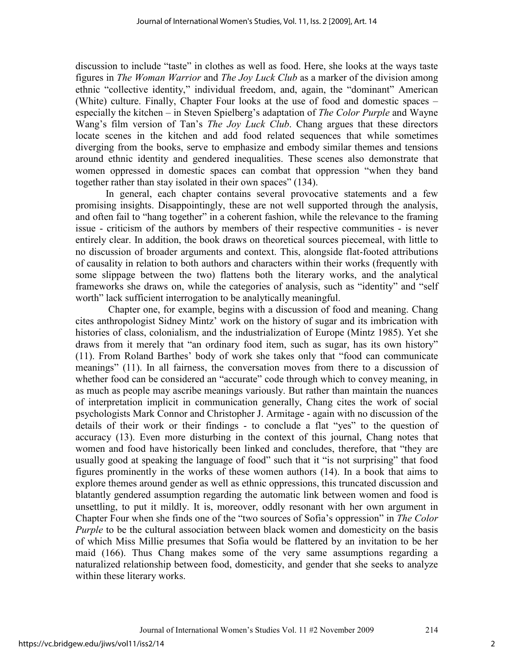discussion to include "taste" in clothes as well as food. Here, she looks at the ways taste figures in *The Woman Warrior* and *The Joy Luck Club* as a marker of the division among ethnic "collective identity," individual freedom, and, again, the "dominant" American (White) culture. Finally, Chapter Four looks at the use of food and domestic spaces – especially the kitchen – in Steven Spielberg's adaptation of *The Color Purple* and Wayne Wang's film version of Tan's *The Joy Luck Club*. Chang argues that these directors locate scenes in the kitchen and add food related sequences that while sometimes diverging from the books, serve to emphasize and embody similar themes and tensions around ethnic identity and gendered inequalities. These scenes also demonstrate that women oppressed in domestic spaces can combat that oppression "when they band together rather than stay isolated in their own spaces" (134).

In general, each chapter contains several provocative statements and a few promising insights. Disappointingly, these are not well supported through the analysis, and often fail to "hang together" in a coherent fashion, while the relevance to the framing issue - criticism of the authors by members of their respective communities - is never entirely clear. In addition, the book draws on theoretical sources piecemeal, with little to no discussion of broader arguments and context. This, alongside flat-footed attributions of causality in relation to both authors and characters within their works (frequently with some slippage between the two) flattens both the literary works, and the analytical frameworks she draws on, while the categories of analysis, such as "identity" and "self worth" lack sufficient interrogation to be analytically meaningful.

 Chapter one, for example, begins with a discussion of food and meaning. Chang cites anthropologist Sidney Mintz' work on the history of sugar and its imbrication with histories of class, colonialism, and the industrialization of Europe (Mintz 1985). Yet she draws from it merely that "an ordinary food item, such as sugar, has its own history" (11). From Roland Barthes' body of work she takes only that "food can communicate meanings" (11). In all fairness, the conversation moves from there to a discussion of whether food can be considered an "accurate" code through which to convey meaning, in as much as people may ascribe meanings variously. But rather than maintain the nuances of interpretation implicit in communication generally, Chang cites the work of social psychologists Mark Connor and Christopher J. Armitage - again with no discussion of the details of their work or their findings - to conclude a flat "yes" to the question of accuracy (13). Even more disturbing in the context of this journal, Chang notes that women and food have historically been linked and concludes, therefore, that "they are usually good at speaking the language of food" such that it "is not surprising" that food figures prominently in the works of these women authors (14). In a book that aims to explore themes around gender as well as ethnic oppressions, this truncated discussion and blatantly gendered assumption regarding the automatic link between women and food is unsettling, to put it mildly. It is, moreover, oddly resonant with her own argument in Chapter Four when she finds one of the "two sources of Sofia's oppression" in *The Color Purple* to be the cultural association between black women and domesticity on the basis of which Miss Millie presumes that Sofia would be flattered by an invitation to be her maid (166). Thus Chang makes some of the very same assumptions regarding a naturalized relationship between food, domesticity, and gender that she seeks to analyze within these literary works.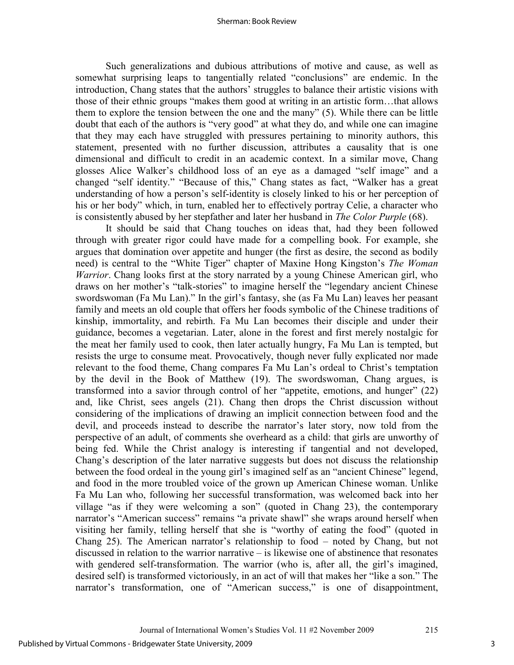#### Sherman: Book Review

Such generalizations and dubious attributions of motive and cause, as well as somewhat surprising leaps to tangentially related "conclusions" are endemic. In the introduction, Chang states that the authors' struggles to balance their artistic visions with those of their ethnic groups "makes them good at writing in an artistic form…that allows them to explore the tension between the one and the many" (5). While there can be little doubt that each of the authors is "very good" at what they do, and while one can imagine that they may each have struggled with pressures pertaining to minority authors, this statement, presented with no further discussion, attributes a causality that is one dimensional and difficult to credit in an academic context. In a similar move, Chang glosses Alice Walker's childhood loss of an eye as a damaged "self image" and a changed "self identity." "Because of this," Chang states as fact, "Walker has a great understanding of how a person's self-identity is closely linked to his or her perception of his or her body" which, in turn, enabled her to effectively portray Celie, a character who is consistently abused by her stepfather and later her husband in *The Color Purple* (68).

It should be said that Chang touches on ideas that, had they been followed through with greater rigor could have made for a compelling book. For example, she argues that domination over appetite and hunger (the first as desire, the second as bodily need) is central to the "White Tiger" chapter of Maxine Hong Kingston's *The Woman Warrior*. Chang looks first at the story narrated by a young Chinese American girl, who draws on her mother's "talk-stories" to imagine herself the "legendary ancient Chinese swordswoman (Fa Mu Lan)." In the girl's fantasy, she (as Fa Mu Lan) leaves her peasant family and meets an old couple that offers her foods symbolic of the Chinese traditions of kinship, immortality, and rebirth. Fa Mu Lan becomes their disciple and under their guidance, becomes a vegetarian. Later, alone in the forest and first merely nostalgic for the meat her family used to cook, then later actually hungry, Fa Mu Lan is tempted, but resists the urge to consume meat. Provocatively, though never fully explicated nor made relevant to the food theme, Chang compares Fa Mu Lan's ordeal to Christ's temptation by the devil in the Book of Matthew (19). The swordswoman, Chang argues, is transformed into a savior through control of her "appetite, emotions, and hunger" (22) and, like Christ, sees angels (21). Chang then drops the Christ discussion without considering of the implications of drawing an implicit connection between food and the devil, and proceeds instead to describe the narrator's later story, now told from the perspective of an adult, of comments she overheard as a child: that girls are unworthy of being fed. While the Christ analogy is interesting if tangential and not developed, Chang's description of the later narrative suggests but does not discuss the relationship between the food ordeal in the young girl's imagined self as an "ancient Chinese" legend, and food in the more troubled voice of the grown up American Chinese woman. Unlike Fa Mu Lan who, following her successful transformation, was welcomed back into her village "as if they were welcoming a son" (quoted in Chang 23), the contemporary narrator's "American success" remains "a private shawl" she wraps around herself when visiting her family, telling herself that she is "worthy of eating the food" (quoted in Chang 25). The American narrator's relationship to food – noted by Chang, but not discussed in relation to the warrior narrative – is likewise one of abstinence that resonates with gendered self-transformation. The warrior (who is, after all, the girl's imagined, desired self) is transformed victoriously, in an act of will that makes her "like a son." The narrator's transformation, one of "American success," is one of disappointment,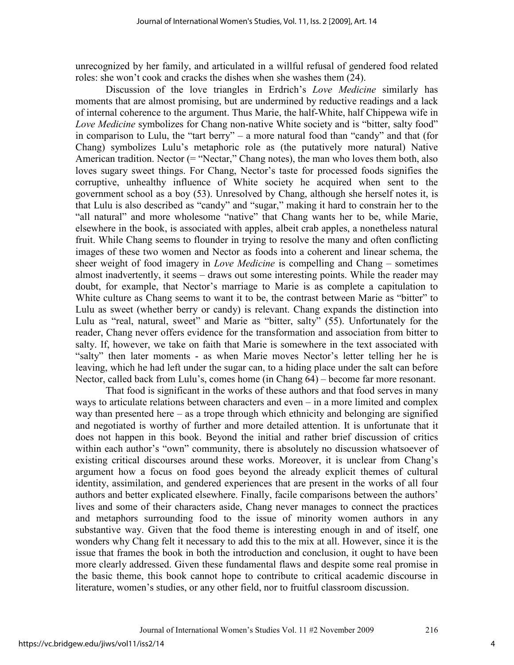unrecognized by her family, and articulated in a willful refusal of gendered food related roles: she won't cook and cracks the dishes when she washes them (24).

Discussion of the love triangles in Erdrich's *Love Medicine* similarly has moments that are almost promising, but are undermined by reductive readings and a lack of internal coherence to the argument. Thus Marie, the half-White, half Chippewa wife in *Love Medicine* symbolizes for Chang non-native White society and is "bitter, salty food" in comparison to Lulu, the "tart berry" – a more natural food than "candy" and that (for Chang) symbolizes Lulu's metaphoric role as (the putatively more natural) Native American tradition. Nector (= "Nectar," Chang notes), the man who loves them both, also loves sugary sweet things. For Chang, Nector's taste for processed foods signifies the corruptive, unhealthy influence of White society he acquired when sent to the government school as a boy (53). Unresolved by Chang, although she herself notes it, is that Lulu is also described as "candy" and "sugar," making it hard to constrain her to the "all natural" and more wholesome "native" that Chang wants her to be, while Marie, elsewhere in the book, is associated with apples, albeit crab apples, a nonetheless natural fruit. While Chang seems to flounder in trying to resolve the many and often conflicting images of these two women and Nector as foods into a coherent and linear schema, the sheer weight of food imagery in *Love Medicine* is compelling and Chang – sometimes almost inadvertently, it seems – draws out some interesting points. While the reader may doubt, for example, that Nector's marriage to Marie is as complete a capitulation to White culture as Chang seems to want it to be, the contrast between Marie as "bitter" to Lulu as sweet (whether berry or candy) is relevant. Chang expands the distinction into Lulu as "real, natural, sweet" and Marie as "bitter, salty" (55). Unfortunately for the reader, Chang never offers evidence for the transformation and association from bitter to salty. If, however, we take on faith that Marie is somewhere in the text associated with "salty" then later moments - as when Marie moves Nector's letter telling her he is leaving, which he had left under the sugar can, to a hiding place under the salt can before Nector, called back from Lulu's, comes home (in Chang 64) – become far more resonant.

That food is significant in the works of these authors and that food serves in many ways to articulate relations between characters and even – in a more limited and complex way than presented here – as a trope through which ethnicity and belonging are signified and negotiated is worthy of further and more detailed attention. It is unfortunate that it does not happen in this book. Beyond the initial and rather brief discussion of critics within each author's "own" community, there is absolutely no discussion whatsoever of existing critical discourses around these works. Moreover, it is unclear from Chang's argument how a focus on food goes beyond the already explicit themes of cultural identity, assimilation, and gendered experiences that are present in the works of all four authors and better explicated elsewhere. Finally, facile comparisons between the authors' lives and some of their characters aside, Chang never manages to connect the practices and metaphors surrounding food to the issue of minority women authors in any substantive way. Given that the food theme is interesting enough in and of itself, one wonders why Chang felt it necessary to add this to the mix at all. However, since it is the issue that frames the book in both the introduction and conclusion, it ought to have been more clearly addressed. Given these fundamental flaws and despite some real promise in the basic theme, this book cannot hope to contribute to critical academic discourse in literature, women's studies, or any other field, nor to fruitful classroom discussion.